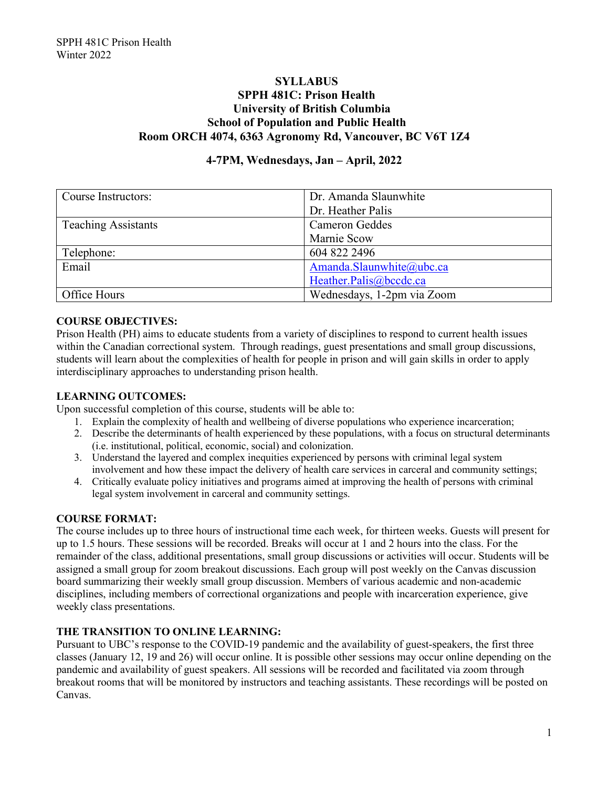# **SYLLABUS SPPH 481C: Prison Health University of British Columbia School of Population and Public Health Room ORCH 4074, 6363 Agronomy Rd, Vancouver, BC V6T 1Z4**

## **4-7PM, Wednesdays, Jan – April, 2022**

| Course Instructors:        | Dr. Amanda Slaunwhite      |  |
|----------------------------|----------------------------|--|
|                            | Dr. Heather Palis          |  |
| <b>Teaching Assistants</b> | Cameron Geddes             |  |
|                            | Marnie Scow                |  |
| Telephone:                 | 604 822 2496               |  |
| Email                      | Amanda.Slaunwhite@ubc.ca   |  |
|                            | Heather.Palis@bccdc.ca     |  |
| Office Hours               | Wednesdays, 1-2pm via Zoom |  |

### **COURSE OBJECTIVES:**

Prison Health (PH) aims to educate students from a variety of disciplines to respond to current health issues within the Canadian correctional system. Through readings, guest presentations and small group discussions, students will learn about the complexities of health for people in prison and will gain skills in order to apply interdisciplinary approaches to understanding prison health.

#### **LEARNING OUTCOMES:**

Upon successful completion of this course, students will be able to:

- 1. Explain the complexity of health and wellbeing of diverse populations who experience incarceration;
- 2. Describe the determinants of health experienced by these populations, with a focus on structural determinants (i.e. institutional, political, economic, social) and colonization.
- 3. Understand the layered and complex inequities experienced by persons with criminal legal system involvement and how these impact the delivery of health care services in carceral and community settings;
- 4. Critically evaluate policy initiatives and programs aimed at improving the health of persons with criminal legal system involvement in carceral and community settings.

#### **COURSE FORMAT:**

The course includes up to three hours of instructional time each week, for thirteen weeks. Guests will present for up to 1.5 hours. These sessions will be recorded. Breaks will occur at 1 and 2 hours into the class. For the remainder of the class, additional presentations, small group discussions or activities will occur. Students will be assigned a small group for zoom breakout discussions. Each group will post weekly on the Canvas discussion board summarizing their weekly small group discussion. Members of various academic and non-academic disciplines, including members of correctional organizations and people with incarceration experience, give weekly class presentations.

#### **THE TRANSITION TO ONLINE LEARNING:**

Pursuant to UBC's response to the COVID-19 pandemic and the availability of guest-speakers, the first three classes (January 12, 19 and 26) will occur online. It is possible other sessions may occur online depending on the pandemic and availability of guest speakers. All sessions will be recorded and facilitated via zoom through breakout rooms that will be monitored by instructors and teaching assistants. These recordings will be posted on Canvas.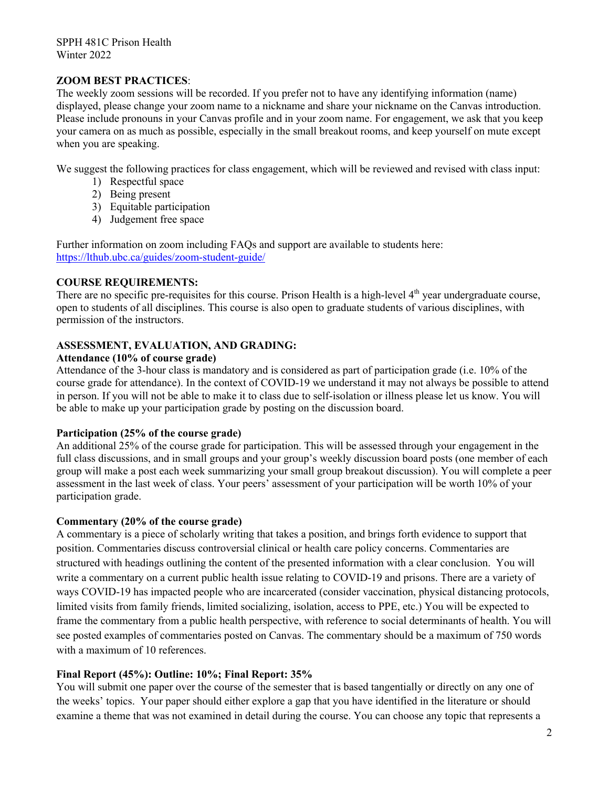### **ZOOM BEST PRACTICES**:

The weekly zoom sessions will be recorded. If you prefer not to have any identifying information (name) displayed, please change your zoom name to a nickname and share your nickname on the Canvas introduction. Please include pronouns in your Canvas profile and in your zoom name. For engagement, we ask that you keep your camera on as much as possible, especially in the small breakout rooms, and keep yourself on mute except when you are speaking.

We suggest the following practices for class engagement, which will be reviewed and revised with class input:

- 1) Respectful space
- 2) Being present
- 3) Equitable participation
- 4) Judgement free space

Further information on zoom including FAQs and support are available to students here: https://lthub.ubc.ca/guides/zoom-student-guide/

## **COURSE REQUIREMENTS:**

There are no specific pre-requisites for this course. Prison Health is a high-level  $4<sup>th</sup>$  year undergraduate course, open to students of all disciplines. This course is also open to graduate students of various disciplines, with permission of the instructors.

## **ASSESSMENT, EVALUATION, AND GRADING:**

#### **Attendance (10% of course grade)**

Attendance of the 3-hour class is mandatory and is considered as part of participation grade (i.e. 10% of the course grade for attendance). In the context of COVID-19 we understand it may not always be possible to attend in person. If you will not be able to make it to class due to self-isolation or illness please let us know. You will be able to make up your participation grade by posting on the discussion board.

#### **Participation (25% of the course grade)**

An additional 25% of the course grade for participation. This will be assessed through your engagement in the full class discussions, and in small groups and your group's weekly discussion board posts (one member of each group will make a post each week summarizing your small group breakout discussion). You will complete a peer assessment in the last week of class. Your peers' assessment of your participation will be worth 10% of your participation grade.

### **Commentary (20% of the course grade)**

A commentary is a piece of scholarly writing that takes a position, and brings forth evidence to support that position. Commentaries discuss controversial clinical or health care policy concerns. Commentaries are structured with headings outlining the content of the presented information with a clear conclusion. You will write a commentary on a current public health issue relating to COVID-19 and prisons. There are a variety of ways COVID-19 has impacted people who are incarcerated (consider vaccination, physical distancing protocols, limited visits from family friends, limited socializing, isolation, access to PPE, etc.) You will be expected to frame the commentary from a public health perspective, with reference to social determinants of health. You will see posted examples of commentaries posted on Canvas. The commentary should be a maximum of 750 words with a maximum of 10 references.

## **Final Report (45%): Outline: 10%; Final Report: 35%**

You will submit one paper over the course of the semester that is based tangentially or directly on any one of the weeks' topics. Your paper should either explore a gap that you have identified in the literature or should examine a theme that was not examined in detail during the course. You can choose any topic that represents a